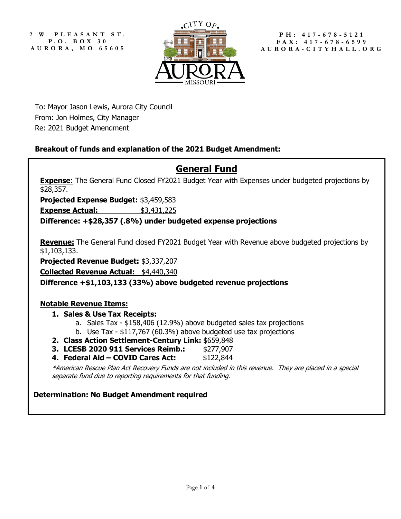**2 W. PLEASANT ST. P. O. B OX 3 0 AURORA, MO 65605**



**PH: 417 - 678 - 5121 FAX: 417 - 678 - 6599 AURORA - CITYHALL.ORG**

To: Mayor Jason Lewis, Aurora City Council From: Jon Holmes, City Manager Re: 2021 Budget Amendment

## **Breakout of funds and explanation of the 2021 Budget Amendment:**

# **General Fund**

**Expense:** The General Fund Closed FY2021 Budget Year with Expenses under budgeted projections by \$28,357.

**Projected Expense Budget:** \$3,459,583

**Expense Actual:**  $$3,431,225$ 

**Difference: +\$28,357 (.8%) under budgeted expense projections**

**Revenue:** The General Fund closed FY2021 Budget Year with Revenue above budgeted projections by \$1,103,133.

**Projected Revenue Budget:** \$3,337,207

**Collected Revenue Actual:** \$4,440,340

**Difference +\$1,103,133 (33%) above budgeted revenue projections**

## **Notable Revenue Items:**

- **1. Sales & Use Tax Receipts:**
	- a. Sales Tax \$158,406 (12.9%) above budgeted sales tax projections
	- b. Use Tax \$117,767 (60.3%) above budgeted use tax projections
- **2. Class Action Settlement-Century Link:** \$659,848
- **3. LCESB 2020 911 Services Reimb.:** \$277,907
- **4. Federal Aid – COVID Cares Act:** \$122,844

\*American Rescue Plan Act Recovery Funds are not included in this revenue. They are placed in a special separate fund due to reporting requirements for that funding.

## **Determination: No Budget Amendment required**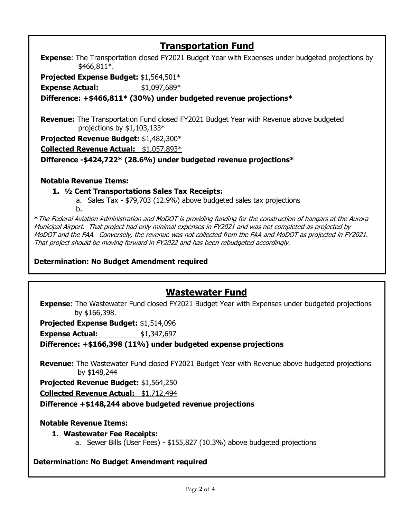# **Transportation Fund**

**Expense:** The Transportation closed FY2021 Budget Year with Expenses under budgeted projections by \$466,811\*.

**Projected Expense Budget:** \$1,564,501\*

**Expense Actual:**  $$1,097,689*$ 

**Difference: +\$466,811\* (30%) under budgeted revenue projections\***

**Revenue:** The Transportation Fund closed FY2021 Budget Year with Revenue above budgeted projections by \$1,103,133\*

**Projected Revenue Budget:** \$1,482,300\*

**Collected Revenue Actual:** \$1,057,893\*

**Difference -\$424,722\* (28.6%) under budgeted revenue projections\***

## **Notable Revenue Items:**

## **1. ½ Cent Transportations Sales Tax Receipts:**

a. Sales Tax - \$79,703 (12.9%) above budgeted sales tax projections b.

**\***The Federal Aviation Administration and MoDOT is providing funding for the construction of hangars at the Aurora Municipal Airport. That project had only minimal expenses in FY2021 and was not completed as projected by MoDOT and the FAA. Conversely, the revenue was not collected from the FAA and MoDOT as projected in FY2021. That project should be moving forward in FY2022 and has been rebudgeted accordingly.

## **Determination: No Budget Amendment required**

## **Wastewater Fund**

**Expense:** The Wastewater Fund closed FY2021 Budget Year with Expenses under budgeted projections by \$166,398.

**Projected Expense Budget:** \$1,514,096

**Expense Actual:**  $$1,347,697$ 

**Difference: +\$166,398 (11%) under budgeted expense projections**

**Revenue:** The Wastewater Fund closed FY2021 Budget Year with Revenue above budgeted projections by \$148,244

**Projected Revenue Budget:** \$1,564,250

**Collected Revenue Actual:** \$1,712,494

**Difference +\$148,244 above budgeted revenue projections**

## **Notable Revenue Items:**

## **1. Wastewater Fee Receipts:**

a. Sewer Bills (User Fees) - \$155,827 (10.3%) above budgeted projections

**Determination: No Budget Amendment required**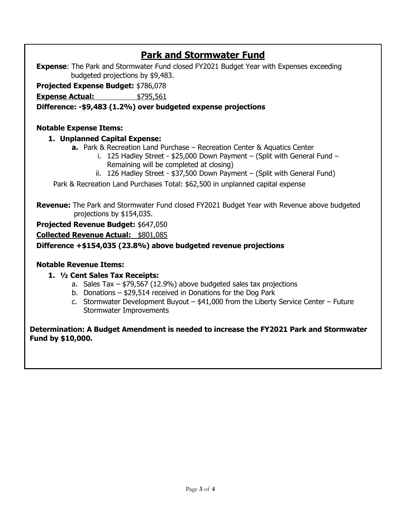# **Park and Stormwater Fund**

**Expense:** The Park and Stormwater Fund closed FY2021 Budget Year with Expenses exceeding budgeted projections by \$9,483.

**Projected Expense Budget:** \$786,078

**Expense Actual:**  $$795,561$ 

## **Difference: -\$9,483 (1.2%) over budgeted expense projections**

## **Notable Expense Items:**

## **1. Unplanned Capital Expense:**

- **a.** Park & Recreation Land Purchase Recreation Center & Aquatics Center
	- i. 125 Hadley Street \$25,000 Down Payment (Split with General Fund Remaining will be completed at closing)
	- ii. 126 Hadley Street \$37,500 Down Payment (Split with General Fund)

Park & Recreation Land Purchases Total: \$62,500 in unplanned capital expense

**Revenue:** The Park and Stormwater Fund closed FY2021 Budget Year with Revenue above budgeted projections by \$154,035.

**Projected Revenue Budget:** \$647,050

**Collected Revenue Actual:** \$801,085

**Difference +\$154,035 (23.8%) above budgeted revenue projections**

## **Notable Revenue Items:**

## **1. ½ Cent Sales Tax Receipts:**

- a. Sales Tax \$79,567 (12.9%) above budgeted sales tax projections
- b. Donations \$29,514 received in Donations for the Dog Park
- c. Stormwater Development Buyout \$41,000 from the Liberty Service Center Future Stormwater Improvements

**Determination: A Budget Amendment is needed to increase the FY2021 Park and Stormwater Fund by \$10,000.**